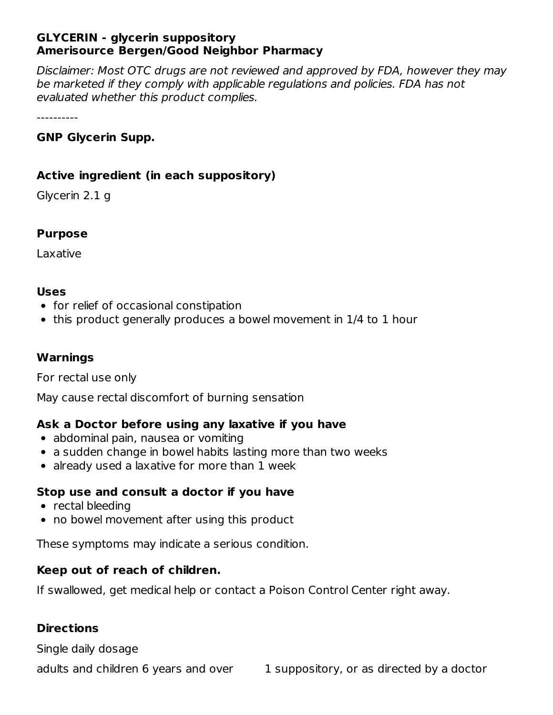### **GLYCERIN - glycerin suppository Amerisource Bergen/Good Neighbor Pharmacy**

Disclaimer: Most OTC drugs are not reviewed and approved by FDA, however they may be marketed if they comply with applicable regulations and policies. FDA has not evaluated whether this product complies.

----------

# **GNP Glycerin Supp.**

### **Active ingredient (in each suppository)**

Glycerin 2.1 g

#### **Purpose**

Laxative

#### **Uses**

- for relief of occasional constipation
- this product generally produces a bowel movement in 1/4 to 1 hour

#### **Warnings**

For rectal use only

May cause rectal discomfort of burning sensation

# **Ask a Doctor before using any laxative if you have**

- abdominal pain, nausea or vomiting
- a sudden change in bowel habits lasting more than two weeks
- already used a laxative for more than 1 week

#### **Stop use and consult a doctor if you have**

- rectal bleeding
- no bowel movement after using this product

These symptoms may indicate a serious condition.

#### **Keep out of reach of children.**

If swallowed, get medical help or contact a Poison Control Center right away.

#### **Directions**

Single daily dosage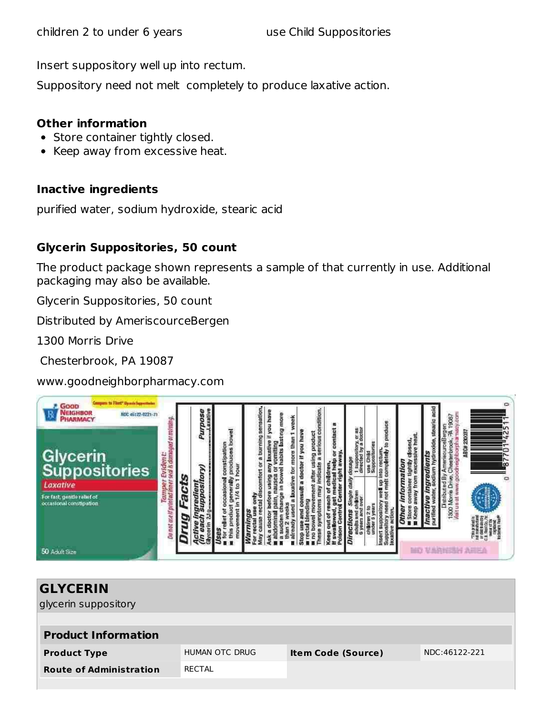Insert suppository well up into rectum.

Suppository need not melt completely to produce laxative action.

#### **Other information**

- Store container tightly closed.
- Keep away from excessive heat.  $\bullet$

#### **Inactive ingredients**

purified water, sodium hydroxide, stearic acid

# **Glycerin Suppositories, 50 count**

The product package shown represents a sample of that currently in use. Additional packaging may also be available.

Glycerin Suppositories, 50 count

Distributed by AmeriscourceBergen

1300 Morris Drive

Chesterbrook, PA 19087

www.goodneighborpharmacy.com



| <b>GLYCERIN</b>                |                |                           |               |  |  |  |  |
|--------------------------------|----------------|---------------------------|---------------|--|--|--|--|
| glycerin suppository           |                |                           |               |  |  |  |  |
|                                |                |                           |               |  |  |  |  |
| <b>Product Information</b>     |                |                           |               |  |  |  |  |
| <b>Product Type</b>            | HUMAN OTC DRUG | <b>Item Code (Source)</b> | NDC:46122-221 |  |  |  |  |
| <b>Route of Administration</b> | RECTAL         |                           |               |  |  |  |  |
|                                |                |                           |               |  |  |  |  |